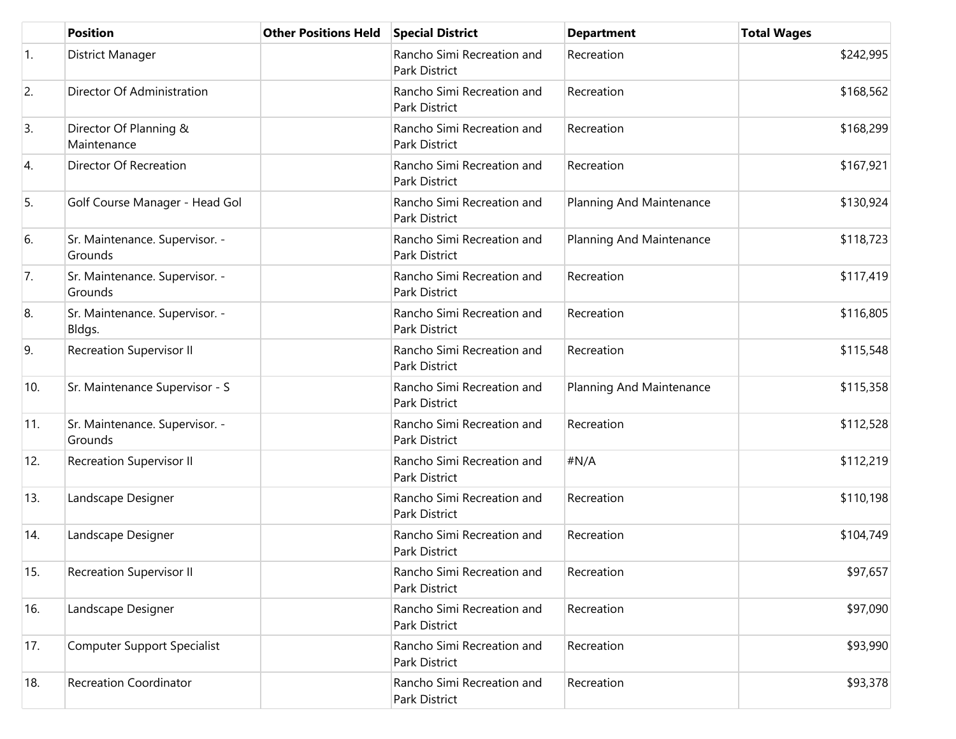|                  | <b>Position</b>                           | <b>Other Positions Held</b> | <b>Special District</b>                     | <b>Department</b>        | <b>Total Wages</b> |
|------------------|-------------------------------------------|-----------------------------|---------------------------------------------|--------------------------|--------------------|
| $\overline{1}$ . | District Manager                          |                             | Rancho Simi Recreation and<br>Park District | Recreation               | \$242,995          |
| 2.               | Director Of Administration                |                             | Rancho Simi Recreation and<br>Park District | Recreation               | \$168,562          |
| 3.               | Director Of Planning &<br>Maintenance     |                             | Rancho Simi Recreation and<br>Park District | Recreation               | \$168,299          |
| 4.               | Director Of Recreation                    |                             | Rancho Simi Recreation and<br>Park District | Recreation               | \$167,921          |
| 5.               | Golf Course Manager - Head Gol            |                             | Rancho Simi Recreation and<br>Park District | Planning And Maintenance | \$130,924          |
| 6.               | Sr. Maintenance. Supervisor. -<br>Grounds |                             | Rancho Simi Recreation and<br>Park District | Planning And Maintenance | \$118,723          |
| 7.               | Sr. Maintenance. Supervisor. -<br>Grounds |                             | Rancho Simi Recreation and<br>Park District | Recreation               | \$117,419          |
| 8.               | Sr. Maintenance. Supervisor. -<br>Bldgs.  |                             | Rancho Simi Recreation and<br>Park District | Recreation               | \$116,805          |
| 9.               | <b>Recreation Supervisor II</b>           |                             | Rancho Simi Recreation and<br>Park District | Recreation               | \$115,548          |
| 10.              | Sr. Maintenance Supervisor - S            |                             | Rancho Simi Recreation and<br>Park District | Planning And Maintenance | \$115,358          |
| 11.              | Sr. Maintenance. Supervisor. -<br>Grounds |                             | Rancho Simi Recreation and<br>Park District | Recreation               | \$112,528          |
| 12.              | <b>Recreation Supervisor II</b>           |                             | Rancho Simi Recreation and<br>Park District | #N/A                     | \$112,219          |
| 13.              | Landscape Designer                        |                             | Rancho Simi Recreation and<br>Park District | Recreation               | \$110,198          |
| 14.              | Landscape Designer                        |                             | Rancho Simi Recreation and<br>Park District | Recreation               | \$104,749          |
| 15.              | <b>Recreation Supervisor II</b>           |                             | Rancho Simi Recreation and<br>Park District | Recreation               | \$97,657           |
| 16.              | Landscape Designer                        |                             | Rancho Simi Recreation and<br>Park District | Recreation               | \$97,090           |
| 17.              | <b>Computer Support Specialist</b>        |                             | Rancho Simi Recreation and<br>Park District | Recreation               | \$93,990           |
| 18.              | <b>Recreation Coordinator</b>             |                             | Rancho Simi Recreation and<br>Park District | Recreation               | \$93,378           |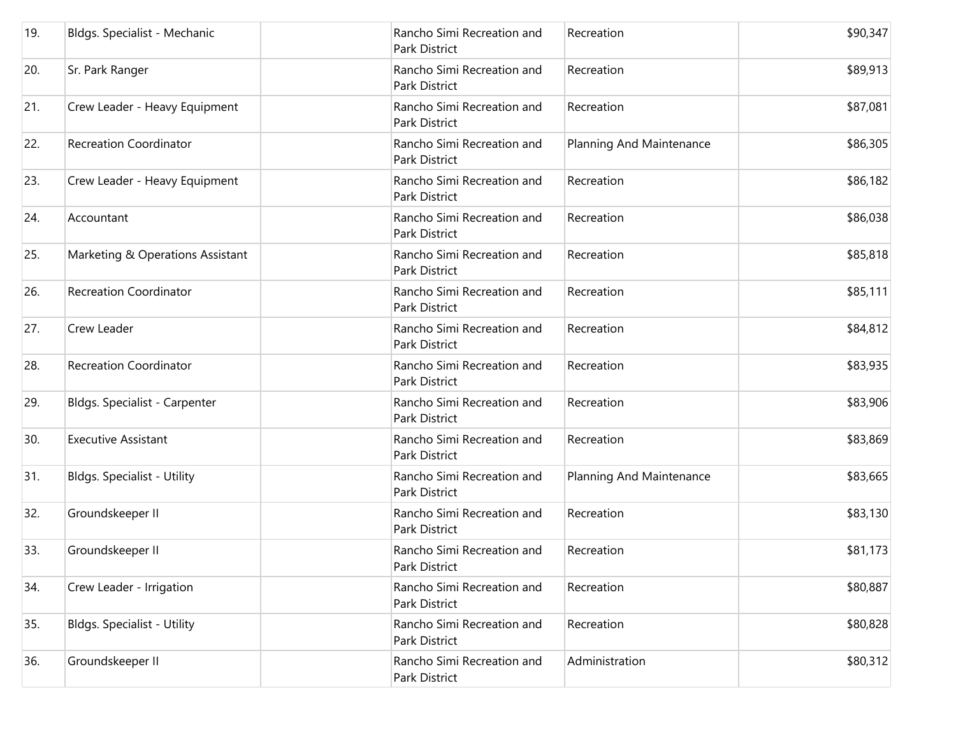| 19. | Bldgs. Specialist - Mechanic       | Rancho Simi Recreation and<br>Park District | Recreation               | \$90,347 |
|-----|------------------------------------|---------------------------------------------|--------------------------|----------|
| 20. | Sr. Park Ranger                    | Rancho Simi Recreation and<br>Park District | Recreation               | \$89,913 |
| 21. | Crew Leader - Heavy Equipment      | Rancho Simi Recreation and<br>Park District | Recreation               | \$87,081 |
| 22. | <b>Recreation Coordinator</b>      | Rancho Simi Recreation and<br>Park District | Planning And Maintenance | \$86,305 |
| 23. | Crew Leader - Heavy Equipment      | Rancho Simi Recreation and<br>Park District | Recreation               | \$86,182 |
| 24. | Accountant                         | Rancho Simi Recreation and<br>Park District | Recreation               | \$86,038 |
| 25. | Marketing & Operations Assistant   | Rancho Simi Recreation and<br>Park District | Recreation               | \$85,818 |
| 26. | <b>Recreation Coordinator</b>      | Rancho Simi Recreation and<br>Park District | Recreation               | \$85,111 |
| 27. | <b>Crew Leader</b>                 | Rancho Simi Recreation and<br>Park District | Recreation               | \$84,812 |
| 28. | <b>Recreation Coordinator</b>      | Rancho Simi Recreation and<br>Park District | Recreation               | \$83,935 |
| 29. | Bldgs. Specialist - Carpenter      | Rancho Simi Recreation and<br>Park District | Recreation               | \$83,906 |
| 30. | <b>Executive Assistant</b>         | Rancho Simi Recreation and<br>Park District | Recreation               | \$83,869 |
| 31. | Bldgs. Specialist - Utility        | Rancho Simi Recreation and<br>Park District | Planning And Maintenance | \$83,665 |
| 32. | Groundskeeper II                   | Rancho Simi Recreation and<br>Park District | Recreation               | \$83,130 |
| 33. | Groundskeeper II                   | Rancho Simi Recreation and<br>Park District | Recreation               | \$81,173 |
| 34. | Crew Leader - Irrigation           | Rancho Simi Recreation and<br>Park District | Recreation               | \$80,887 |
| 35. | <b>Bldgs. Specialist - Utility</b> | Rancho Simi Recreation and<br>Park District | Recreation               | \$80,828 |
| 36. | Groundskeeper II                   | Rancho Simi Recreation and<br>Park District | Administration           | \$80,312 |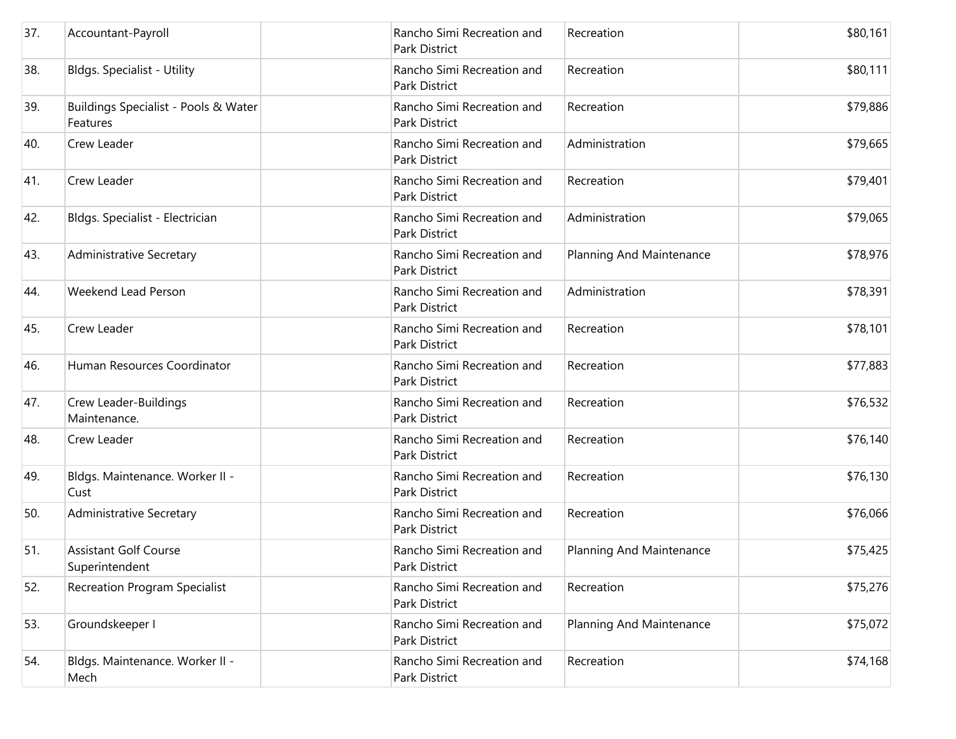| 37. | Accountant-Payroll                               | Rancho Simi Recreation and<br>Park District        | Recreation               | \$80,161 |
|-----|--------------------------------------------------|----------------------------------------------------|--------------------------|----------|
| 38. | <b>Bldgs. Specialist - Utility</b>               | Rancho Simi Recreation and<br>Park District        | Recreation               | \$80,111 |
| 39. | Buildings Specialist - Pools & Water<br>Features | Rancho Simi Recreation and<br>Park District        | Recreation               | \$79,886 |
| 40. | <b>Crew Leader</b>                               | Rancho Simi Recreation and<br>Park District        | Administration           | \$79,665 |
| 41. | Crew Leader                                      | Rancho Simi Recreation and<br>Park District        | Recreation               | \$79,401 |
| 42. | Bldgs. Specialist - Electrician                  | Rancho Simi Recreation and<br>Park District        | Administration           | \$79,065 |
| 43. | <b>Administrative Secretary</b>                  | Rancho Simi Recreation and<br><b>Park District</b> | Planning And Maintenance | \$78,976 |
| 44. | Weekend Lead Person                              | Rancho Simi Recreation and<br>Park District        | Administration           | \$78,391 |
| 45. | Crew Leader                                      | Rancho Simi Recreation and<br>Park District        | Recreation               | \$78,101 |
| 46. | Human Resources Coordinator                      | Rancho Simi Recreation and<br>Park District        | Recreation               | \$77,883 |
| 47. | Crew Leader-Buildings<br>Maintenance.            | Rancho Simi Recreation and<br>Park District        | Recreation               | \$76,532 |
| 48. | <b>Crew Leader</b>                               | Rancho Simi Recreation and<br>Park District        | Recreation               | \$76,140 |
| 49. | Bldgs. Maintenance. Worker II -<br>Cust          | Rancho Simi Recreation and<br>Park District        | Recreation               | \$76,130 |
| 50. | Administrative Secretary                         | Rancho Simi Recreation and<br>Park District        | Recreation               | \$76,066 |
| 51. | <b>Assistant Golf Course</b><br>Superintendent   | Rancho Simi Recreation and<br>Park District        | Planning And Maintenance | \$75,425 |
| 52. | <b>Recreation Program Specialist</b>             | Rancho Simi Recreation and<br>Park District        | Recreation               | \$75,276 |
| 53. | Groundskeeper I                                  | Rancho Simi Recreation and<br>Park District        | Planning And Maintenance | \$75,072 |
| 54. | Bldgs. Maintenance. Worker II -<br>Mech          | Rancho Simi Recreation and<br>Park District        | Recreation               | \$74,168 |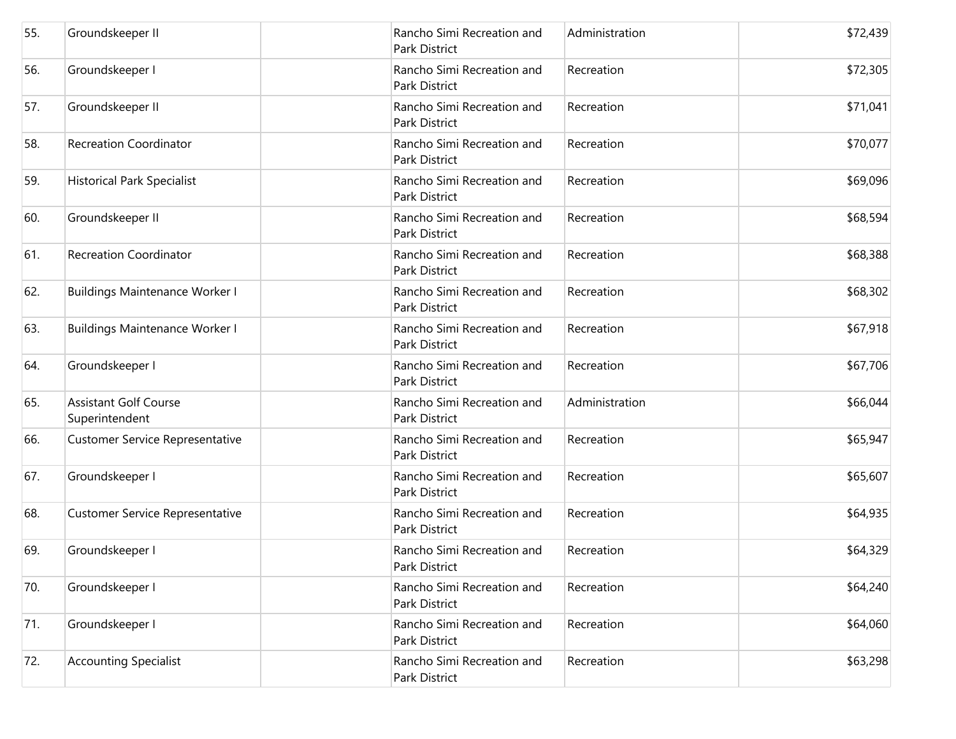| 55. | Groundskeeper II                               | Rancho Simi Recreation and<br>Park District        | Administration | \$72,439 |
|-----|------------------------------------------------|----------------------------------------------------|----------------|----------|
| 56. | Groundskeeper I                                | Rancho Simi Recreation and<br><b>Park District</b> | Recreation     | \$72,305 |
| 57. | Groundskeeper II                               | Rancho Simi Recreation and<br>Park District        | Recreation     | \$71,041 |
| 58. | <b>Recreation Coordinator</b>                  | Rancho Simi Recreation and<br>Park District        | Recreation     | \$70,077 |
| 59. | <b>Historical Park Specialist</b>              | Rancho Simi Recreation and<br>Park District        | Recreation     | \$69,096 |
| 60. | Groundskeeper II                               | Rancho Simi Recreation and<br>Park District        | Recreation     | \$68,594 |
| 61. | <b>Recreation Coordinator</b>                  | Rancho Simi Recreation and<br>Park District        | Recreation     | \$68,388 |
| 62. | <b>Buildings Maintenance Worker I</b>          | Rancho Simi Recreation and<br>Park District        | Recreation     | \$68,302 |
| 63. | <b>Buildings Maintenance Worker I</b>          | Rancho Simi Recreation and<br><b>Park District</b> | Recreation     | \$67,918 |
| 64. | Groundskeeper I                                | Rancho Simi Recreation and<br>Park District        | Recreation     | \$67,706 |
| 65. | <b>Assistant Golf Course</b><br>Superintendent | Rancho Simi Recreation and<br>Park District        | Administration | \$66,044 |
| 66. | <b>Customer Service Representative</b>         | Rancho Simi Recreation and<br>Park District        | Recreation     | \$65,947 |
| 67. | Groundskeeper I                                | Rancho Simi Recreation and<br>Park District        | Recreation     | \$65,607 |
| 68. | Customer Service Representative                | Rancho Simi Recreation and<br>Park District        | Recreation     | \$64,935 |
| 69. | Groundskeeper I                                | Rancho Simi Recreation and<br>Park District        | Recreation     | \$64,329 |
| 70. | Groundskeeper I                                | Rancho Simi Recreation and<br>Park District        | Recreation     | \$64,240 |
| 71. | Groundskeeper I                                | Rancho Simi Recreation and<br>Park District        | Recreation     | \$64,060 |
| 72. | <b>Accounting Specialist</b>                   | Rancho Simi Recreation and<br>Park District        | Recreation     | \$63,298 |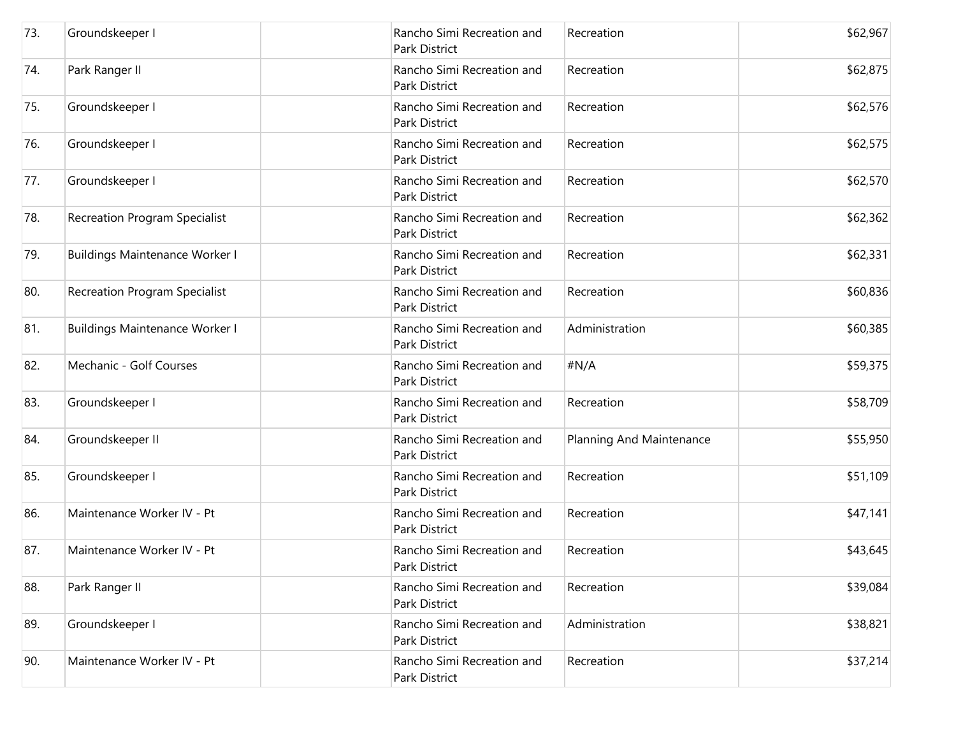| 73. | Groundskeeper I                       | Rancho Simi Recreation and<br>Park District        | Recreation               | \$62,967 |
|-----|---------------------------------------|----------------------------------------------------|--------------------------|----------|
| 74. | Park Ranger II                        | Rancho Simi Recreation and<br>Park District        | Recreation               | \$62,875 |
| 75. | Groundskeeper I                       | Rancho Simi Recreation and<br>Park District        | Recreation               | \$62,576 |
| 76. | Groundskeeper I                       | Rancho Simi Recreation and<br>Park District        | Recreation               | \$62,575 |
| 77. | Groundskeeper I                       | Rancho Simi Recreation and<br>Park District        | Recreation               | \$62,570 |
| 78. | <b>Recreation Program Specialist</b>  | Rancho Simi Recreation and<br>Park District        | Recreation               | \$62,362 |
| 79. | <b>Buildings Maintenance Worker I</b> | Rancho Simi Recreation and<br><b>Park District</b> | Recreation               | \$62,331 |
| 80. | <b>Recreation Program Specialist</b>  | Rancho Simi Recreation and<br>Park District        | Recreation               | \$60,836 |
| 81. | <b>Buildings Maintenance Worker I</b> | Rancho Simi Recreation and<br>Park District        | Administration           | \$60,385 |
| 82. | Mechanic - Golf Courses               | Rancho Simi Recreation and<br>Park District        | #N/A                     | \$59,375 |
| 83. | Groundskeeper I                       | Rancho Simi Recreation and<br>Park District        | Recreation               | \$58,709 |
| 84. | Groundskeeper II                      | Rancho Simi Recreation and<br>Park District        | Planning And Maintenance | \$55,950 |
| 85. | Groundskeeper I                       | Rancho Simi Recreation and<br>Park District        | Recreation               | \$51,109 |
| 86. | Maintenance Worker IV - Pt            | Rancho Simi Recreation and<br>Park District        | Recreation               | \$47,141 |
| 87. | Maintenance Worker IV - Pt            | Rancho Simi Recreation and<br>Park District        | Recreation               | \$43,645 |
| 88. | Park Ranger II                        | Rancho Simi Recreation and<br>Park District        | Recreation               | \$39,084 |
| 89. | Groundskeeper I                       | Rancho Simi Recreation and<br>Park District        | Administration           | \$38,821 |
| 90. | Maintenance Worker IV - Pt            | Rancho Simi Recreation and<br>Park District        | Recreation               | \$37,214 |